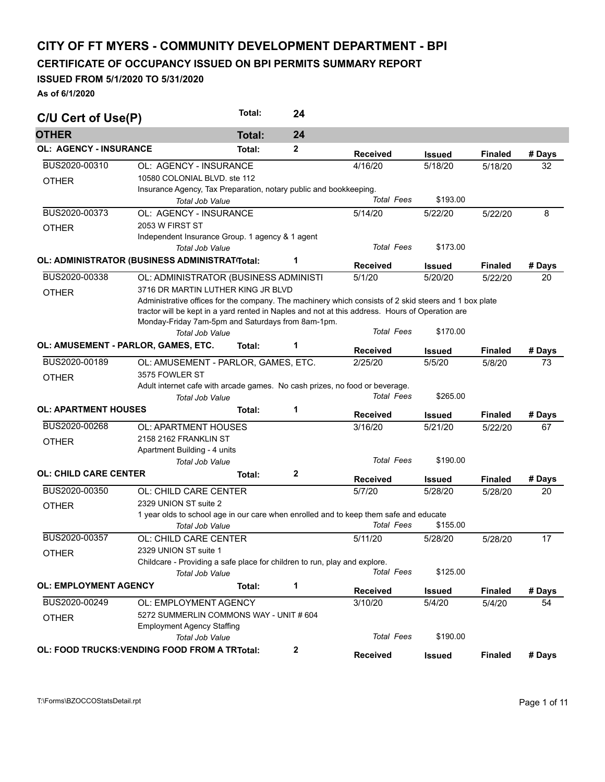## **CITY OF FT MYERS - COMMUNITY DEVELOPMENT DEPARTMENT - BPI**

**CERTIFICATE OF OCCUPANCY ISSUED ON BPI PERMITS SUMMARY REPORT** 

## **ISSUED FROM 5/1/2020 TO 5/31/2020**

**As of 6/1/2020** 

| C/U Cert of Use(P)            |                                                                                                       | Total:        | 24           |                   |                         |                |              |
|-------------------------------|-------------------------------------------------------------------------------------------------------|---------------|--------------|-------------------|-------------------------|----------------|--------------|
| <b>OTHER</b>                  |                                                                                                       | <b>Total:</b> | 24           |                   |                         |                |              |
| <b>OL: AGENCY - INSURANCE</b> |                                                                                                       | Total:        | $\mathbf{2}$ | <b>Received</b>   | <b>Issued</b>           | <b>Finaled</b> | # Days       |
| BUS2020-00310                 | OL: AGENCY - INSURANCE                                                                                |               |              | 4/16/20           | 5/18/20                 | 5/18/20        | 32           |
| <b>OTHER</b>                  | 10580 COLONIAL BLVD, ste 112                                                                          |               |              |                   |                         |                |              |
|                               | Insurance Agency, Tax Preparation, notary public and bookkeeping.                                     |               |              |                   |                         |                |              |
|                               | <b>Total Job Value</b>                                                                                |               |              | <b>Total Fees</b> | \$193.00                |                |              |
| BUS2020-00373                 | OL: AGENCY - INSURANCE                                                                                |               |              | 5/14/20           | 5/22/20                 | 5/22/20        | 8            |
| <b>OTHER</b>                  | 2053 W FIRST ST                                                                                       |               |              |                   |                         |                |              |
|                               | Independent Insurance Group. 1 agency & 1 agent                                                       |               |              |                   |                         |                |              |
|                               | <b>Total Job Value</b>                                                                                |               |              | <b>Total Fees</b> | \$173.00                |                |              |
|                               | OL: ADMINISTRATOR (BUSINESS ADMINISTRAT Total:                                                        |               | 1            | <b>Received</b>   | <b>Issued</b>           | <b>Finaled</b> | # Days       |
| BUS2020-00338                 | OL: ADMINISTRATOR (BUSINESS ADMINISTI                                                                 |               |              | 5/1/20            | 5/20/20                 | 5/22/20        | 20           |
| <b>OTHER</b>                  | 3716 DR MARTIN LUTHER KING JR BLVD                                                                    |               |              |                   |                         |                |              |
|                               | Administrative offices for the company. The machinery which consists of 2 skid steers and 1 box plate |               |              |                   |                         |                |              |
|                               | tractor will be kept in a yard rented in Naples and not at this address. Hours of Operation are       |               |              |                   |                         |                |              |
|                               | Monday-Friday 7am-5pm and Saturdays from 8am-1pm.                                                     |               |              |                   |                         |                |              |
|                               | Total Job Value                                                                                       |               |              | <b>Total Fees</b> | \$170.00                |                |              |
|                               | OL: AMUSEMENT - PARLOR, GAMES, ETC.                                                                   | Total:        | 1            | <b>Received</b>   | <b>Issued</b>           | <b>Finaled</b> | # Days       |
| BUS2020-00189                 | OL: AMUSEMENT - PARLOR, GAMES, ETC.                                                                   |               |              | 2/25/20           | 5/5/20                  | 5/8/20         | 73           |
|                               | 3575 FOWLER ST                                                                                        |               |              |                   |                         |                |              |
| <b>OTHER</b>                  | Adult internet cafe with arcade games. No cash prizes, no food or beverage.                           |               |              |                   |                         |                |              |
|                               | Total Job Value                                                                                       |               |              | <b>Total Fees</b> | \$265.00                |                |              |
| <b>OL: APARTMENT HOUSES</b>   |                                                                                                       | Total:        | 1            |                   |                         |                |              |
|                               |                                                                                                       |               |              | <b>Received</b>   | Issued                  | <b>Finaled</b> | # Days       |
| BUS2020-00268                 | OL: APARTMENT HOUSES                                                                                  |               |              | 3/16/20           | 5/21/20                 | 5/22/20        | 67           |
| <b>OTHER</b>                  | 2158 2162 FRANKLIN ST                                                                                 |               |              |                   |                         |                |              |
|                               | Apartment Building - 4 units                                                                          |               |              | <b>Total Fees</b> |                         |                |              |
|                               | <b>Total Job Value</b>                                                                                |               |              |                   | \$190.00                |                |              |
| <b>OL: CHILD CARE CENTER</b>  |                                                                                                       | Total:        | $\mathbf 2$  | <b>Received</b>   | Issued                  | <b>Finaled</b> | # Days       |
| BUS2020-00350                 | OL: CHILD CARE CENTER                                                                                 |               |              | 5/7/20            | 5/28/20                 | 5/28/20        | 20           |
| <b>OTHER</b>                  | 2329 UNION ST suite 2                                                                                 |               |              |                   |                         |                |              |
|                               | 1 year olds to school age in our care when enrolled and to keep them safe and educate                 |               |              |                   |                         |                |              |
|                               | Total Job Value                                                                                       |               |              | <b>Total Fees</b> | \$155.00                |                |              |
| BUS2020-00357                 | OL: CHILD CARE CENTER                                                                                 |               |              | 5/11/20           | 5/28/20                 | 5/28/20        | 17           |
| <b>OTHER</b>                  | 2329 UNION ST suite 1                                                                                 |               |              |                   |                         |                |              |
|                               | Childcare - Providing a safe place for children to run, play and explore.                             |               |              |                   |                         |                |              |
|                               | Total Job Value                                                                                       |               |              | <b>Total Fees</b> | \$125.00                |                |              |
| <b>OL: EMPLOYMENT AGENCY</b>  |                                                                                                       | Total:        | 1            | <b>Received</b>   |                         | <b>Finaled</b> |              |
| BUS2020-00249                 | OL: EMPLOYMENT AGENCY                                                                                 |               |              | 3/10/20           | <b>Issued</b><br>5/4/20 | 5/4/20         | # Days<br>54 |
|                               | 5272 SUMMERLIN COMMONS WAY - UNIT # 604                                                               |               |              |                   |                         |                |              |
| <b>OTHER</b>                  | <b>Employment Agency Staffing</b>                                                                     |               |              |                   |                         |                |              |
|                               | Total Job Value                                                                                       |               |              | <b>Total Fees</b> | \$190.00                |                |              |
|                               |                                                                                                       |               |              |                   |                         |                |              |
|                               | OL: FOOD TRUCKS: VENDING FOOD FROM A TRTotal:                                                         |               | $\mathbf{2}$ | <b>Received</b>   | <b>Issued</b>           | <b>Finaled</b> | # Days       |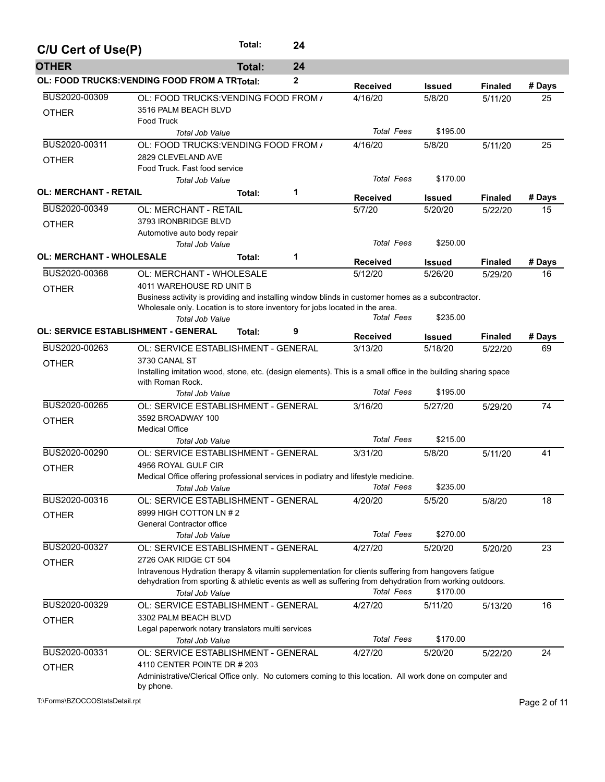| C/U Cert of Use(P)              |                                                                                                                                                              | Total:                                                                                                                        |              |                   |               |                |        |  |  |  |  |  |  |
|---------------------------------|--------------------------------------------------------------------------------------------------------------------------------------------------------------|-------------------------------------------------------------------------------------------------------------------------------|--------------|-------------------|---------------|----------------|--------|--|--|--|--|--|--|
| <b>OTHER</b>                    |                                                                                                                                                              | <b>Total:</b>                                                                                                                 | 24           |                   |               |                |        |  |  |  |  |  |  |
|                                 | OL: FOOD TRUCKS: VENDING FOOD FROM A TRTotal:                                                                                                                |                                                                                                                               | $\mathbf{2}$ | <b>Received</b>   | <b>Issued</b> | <b>Finaled</b> | # Days |  |  |  |  |  |  |
| BUS2020-00309<br><b>OTHER</b>   | OL: FOOD TRUCKS: VENDING FOOD FROM /<br>3516 PALM BEACH BLVD<br>Food Truck                                                                                   |                                                                                                                               |              | 4/16/20           | 5/8/20        | 5/11/20        | 25     |  |  |  |  |  |  |
|                                 | <b>Total Job Value</b>                                                                                                                                       |                                                                                                                               |              | <b>Total Fees</b> | \$195.00      |                |        |  |  |  |  |  |  |
| BUS2020-00311                   | OL: FOOD TRUCKS: VENDING FOOD FROM /                                                                                                                         |                                                                                                                               |              | 4/16/20           | 5/8/20        | 5/11/20        | 25     |  |  |  |  |  |  |
| <b>OTHER</b>                    | 2829 CLEVELAND AVE<br>Food Truck. Fast food service<br><b>Total Job Value</b>                                                                                |                                                                                                                               |              | <b>Total Fees</b> | \$170.00      |                |        |  |  |  |  |  |  |
| <b>OL: MERCHANT - RETAIL</b>    |                                                                                                                                                              | Total:                                                                                                                        | 1            |                   |               |                |        |  |  |  |  |  |  |
|                                 |                                                                                                                                                              |                                                                                                                               |              | <b>Received</b>   | <b>Issued</b> | <b>Finaled</b> | # Days |  |  |  |  |  |  |
| BUS2020-00349                   | <b>OL: MERCHANT - RETAIL</b>                                                                                                                                 |                                                                                                                               |              | 5/7/20            | 5/20/20       | 5/22/20        | 15     |  |  |  |  |  |  |
| <b>OTHER</b>                    | 3793 IRONBRIDGE BLVD<br>Automotive auto body repair<br><b>Total Job Value</b>                                                                                |                                                                                                                               |              | <b>Total Fees</b> | \$250.00      |                |        |  |  |  |  |  |  |
| <b>OL: MERCHANT - WHOLESALE</b> |                                                                                                                                                              | Total:                                                                                                                        | 1            |                   |               |                |        |  |  |  |  |  |  |
|                                 |                                                                                                                                                              |                                                                                                                               |              | Received          | <b>Issued</b> | <b>Finaled</b> | # Days |  |  |  |  |  |  |
| BUS2020-00368                   | OL: MERCHANT - WHOLESALE                                                                                                                                     |                                                                                                                               |              | 5/12/20           | 5/26/20       | 5/29/20        | 16     |  |  |  |  |  |  |
| <b>OTHER</b>                    |                                                                                                                                                              | 4011 WAREHOUSE RD UNIT B<br>Business activity is providing and installing window blinds in customer homes as a subcontractor. |              |                   |               |                |        |  |  |  |  |  |  |
|                                 |                                                                                                                                                              |                                                                                                                               |              |                   |               |                |        |  |  |  |  |  |  |
|                                 | Wholesale only. Location is to store inventory for jobs located in the area.<br><b>Total Job Value</b>                                                       |                                                                                                                               |              | <b>Total Fees</b> | \$235.00      |                |        |  |  |  |  |  |  |
|                                 | OL: SERVICE ESTABLISHMENT - GENERAL                                                                                                                          | Total:                                                                                                                        | 9            |                   |               |                |        |  |  |  |  |  |  |
|                                 |                                                                                                                                                              |                                                                                                                               |              | <b>Received</b>   | <b>Issued</b> | <b>Finaled</b> | # Days |  |  |  |  |  |  |
| BUS2020-00263                   | OL: SERVICE ESTABLISHMENT - GENERAL<br>3730 CANAL ST                                                                                                         |                                                                                                                               |              | 3/13/20           | 5/18/20       | 5/22/20        | 69     |  |  |  |  |  |  |
| OTHER                           | Installing imitation wood, stone, etc. (design elements). This is a small office in the building sharing space<br>with Roman Rock.<br><b>Total Job Value</b> |                                                                                                                               |              | <b>Total Fees</b> | \$195.00      |                |        |  |  |  |  |  |  |
| BUS2020-00265                   | OL: SERVICE ESTABLISHMENT - GENERAL                                                                                                                          |                                                                                                                               |              | 3/16/20           | 5/27/20       | 5/29/20        | 74     |  |  |  |  |  |  |
| <b>OTHER</b>                    | 3592 BROADWAY 100                                                                                                                                            |                                                                                                                               |              |                   |               |                |        |  |  |  |  |  |  |
|                                 | <b>Medical Office</b>                                                                                                                                        |                                                                                                                               |              |                   |               |                |        |  |  |  |  |  |  |
|                                 | <b>Total Job Value</b>                                                                                                                                       |                                                                                                                               |              | <b>Total Fees</b> | \$215.00      |                |        |  |  |  |  |  |  |
| BUS2020-00290                   | OL: SERVICE ESTABLISHMENT - GENERAL                                                                                                                          |                                                                                                                               |              | 3/31/20           | 5/8/20        | 5/11/20        | 41     |  |  |  |  |  |  |
| <b>OTHER</b>                    | 4956 ROYAL GULF CIR                                                                                                                                          |                                                                                                                               |              |                   |               |                |        |  |  |  |  |  |  |
|                                 | Medical Office offering professional services in podiatry and lifestyle medicine.                                                                            |                                                                                                                               |              |                   |               |                |        |  |  |  |  |  |  |
|                                 | Total Job Value                                                                                                                                              |                                                                                                                               |              | <b>Total Fees</b> | \$235.00      |                |        |  |  |  |  |  |  |
| BUS2020-00316                   | OL: SERVICE ESTABLISHMENT - GENERAL                                                                                                                          |                                                                                                                               |              | 4/20/20           | 5/5/20        | 5/8/20         | 18     |  |  |  |  |  |  |
| <b>OTHER</b>                    | 8999 HIGH COTTON LN # 2                                                                                                                                      |                                                                                                                               |              |                   |               |                |        |  |  |  |  |  |  |
|                                 | General Contractor office<br><b>Total Job Value</b>                                                                                                          |                                                                                                                               |              | <b>Total Fees</b> | \$270.00      |                |        |  |  |  |  |  |  |
| BUS2020-00327                   | OL: SERVICE ESTABLISHMENT - GENERAL                                                                                                                          |                                                                                                                               |              | 4/27/20           | 5/20/20       | 5/20/20        | 23     |  |  |  |  |  |  |
|                                 | 2726 OAK RIDGE CT 504                                                                                                                                        |                                                                                                                               |              |                   |               |                |        |  |  |  |  |  |  |
| <b>OTHER</b>                    | Intravenous Hydration therapy & vitamin supplementation for clients suffering from hangovers fatigue                                                         |                                                                                                                               |              |                   |               |                |        |  |  |  |  |  |  |
|                                 | dehydration from sporting & athletic events as well as suffering from dehydration from working outdoors.                                                     |                                                                                                                               |              |                   |               |                |        |  |  |  |  |  |  |
|                                 | <b>Total Job Value</b>                                                                                                                                       |                                                                                                                               |              | <b>Total Fees</b> | \$170.00      |                |        |  |  |  |  |  |  |
| BUS2020-00329                   | OL: SERVICE ESTABLISHMENT - GENERAL                                                                                                                          |                                                                                                                               |              | 4/27/20           | 5/11/20       | 5/13/20        | 16     |  |  |  |  |  |  |
| <b>OTHER</b>                    | 3302 PALM BEACH BLVD                                                                                                                                         |                                                                                                                               |              |                   |               |                |        |  |  |  |  |  |  |
|                                 | Legal paperwork notary translators multi services                                                                                                            |                                                                                                                               |              |                   |               |                |        |  |  |  |  |  |  |
|                                 | <b>Total Job Value</b>                                                                                                                                       |                                                                                                                               |              | <b>Total Fees</b> | \$170.00      |                |        |  |  |  |  |  |  |
| BUS2020-00331                   | OL: SERVICE ESTABLISHMENT - GENERAL                                                                                                                          |                                                                                                                               |              | 4/27/20           | 5/20/20       | 5/22/20        | 24     |  |  |  |  |  |  |
| <b>OTHER</b>                    | 4110 CENTER POINTE DR # 203                                                                                                                                  |                                                                                                                               |              |                   |               |                |        |  |  |  |  |  |  |
|                                 | Administrative/Clerical Office only. No cutomers coming to this location. All work done on computer and<br>by phone.                                         |                                                                                                                               |              |                   |               |                |        |  |  |  |  |  |  |

T:\Forms\BZOCCOStatsDetail.rpt Page 2 of 11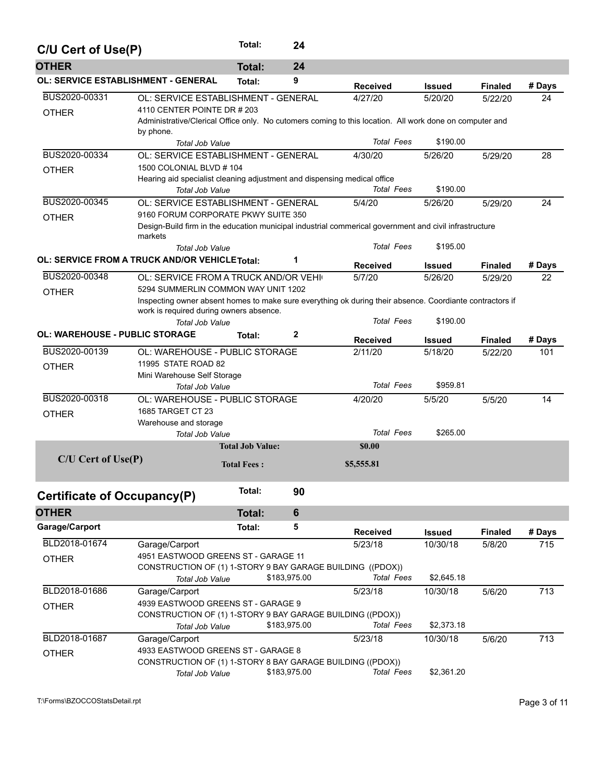| C/U Cert of Use(P)                             | Total:<br>24                                                             |                         |                |                                                                                                          |               |                |        |
|------------------------------------------------|--------------------------------------------------------------------------|-------------------------|----------------|----------------------------------------------------------------------------------------------------------|---------------|----------------|--------|
| <b>OTHER</b>                                   |                                                                          | <b>Total:</b>           | 24             |                                                                                                          |               |                |        |
| <b>OL: SERVICE ESTABLISHMENT - GENERAL</b>     |                                                                          | Total:                  | 9              | <b>Received</b>                                                                                          | <b>Issued</b> | <b>Finaled</b> | # Days |
| BUS2020-00331                                  | OL: SERVICE ESTABLISHMENT - GENERAL                                      |                         |                | 4/27/20                                                                                                  | 5/20/20       | 5/22/20        | 24     |
| <b>OTHER</b>                                   | 4110 CENTER POINTE DR # 203                                              |                         |                |                                                                                                          |               |                |        |
|                                                |                                                                          |                         |                | Administrative/Clerical Office only. No cutomers coming to this location. All work done on computer and  |               |                |        |
|                                                | by phone.                                                                |                         |                | <b>Total Fees</b>                                                                                        | \$190.00      |                |        |
| BUS2020-00334                                  | <b>Total Job Value</b><br>OL: SERVICE ESTABLISHMENT - GENERAL            |                         |                | 4/30/20                                                                                                  | 5/26/20       | 5/29/20        | 28     |
|                                                | 1500 COLONIAL BLVD # 104                                                 |                         |                |                                                                                                          |               |                |        |
| <b>OTHER</b>                                   | Hearing aid specialist cleaning adjustment and dispensing medical office |                         |                |                                                                                                          |               |                |        |
|                                                | <b>Total Job Value</b>                                                   |                         |                | <b>Total Fees</b>                                                                                        | \$190.00      |                |        |
| BUS2020-00345                                  | OL: SERVICE ESTABLISHMENT - GENERAL                                      |                         |                | 5/4/20                                                                                                   | 5/26/20       | 5/29/20        | 24     |
| <b>OTHER</b>                                   | 9160 FORUM CORPORATE PKWY SUITE 350                                      |                         |                |                                                                                                          |               |                |        |
|                                                |                                                                          |                         |                | Design-Build firm in the education municipal industrial commerical government and civil infrastructure   |               |                |        |
|                                                | markets                                                                  |                         |                |                                                                                                          |               |                |        |
|                                                | <b>Total Job Value</b>                                                   |                         |                | <b>Total Fees</b>                                                                                        | \$195.00      |                |        |
| OL: SERVICE FROM A TRUCK AND/OR VEHICLE Total: |                                                                          |                         | 1              | <b>Received</b>                                                                                          | <b>Issued</b> | <b>Finaled</b> | # Days |
| BUS2020-00348                                  | OL: SERVICE FROM A TRUCK AND/OR VEHI                                     |                         |                | 5/7/20                                                                                                   | 5/26/20       | 5/29/20        | 22     |
| <b>OTHER</b>                                   | 5294 SUMMERLIN COMMON WAY UNIT 1202                                      |                         |                |                                                                                                          |               |                |        |
|                                                |                                                                          |                         |                | Inspecting owner absent homes to make sure everything ok during their absence. Coordiante contractors if |               |                |        |
|                                                | work is required during owners absence.                                  |                         |                | <b>Total Fees</b>                                                                                        | \$190.00      |                |        |
| <b>OL: WAREHOUSE - PUBLIC STORAGE</b>          | <b>Total Job Value</b>                                                   |                         | $\mathbf{2}$   |                                                                                                          |               |                |        |
|                                                |                                                                          | Total:                  |                | <b>Received</b>                                                                                          | Issued        | <b>Finaled</b> | # Days |
| BUS2020-00139                                  | OL: WAREHOUSE - PUBLIC STORAGE                                           |                         |                | 2/11/20                                                                                                  | 5/18/20       | 5/22/20        | 101    |
| <b>OTHER</b>                                   | 11995 STATE ROAD 82                                                      |                         |                |                                                                                                          |               |                |        |
|                                                | Mini Warehouse Self Storage                                              |                         |                | <b>Total Fees</b>                                                                                        | \$959.81      |                |        |
| BUS2020-00318                                  | Total Job Value<br>OL: WAREHOUSE - PUBLIC STORAGE                        |                         |                | 4/20/20                                                                                                  | 5/5/20        |                | 14     |
|                                                | 1685 TARGET CT 23                                                        |                         |                |                                                                                                          |               | 5/5/20         |        |
| <b>OTHER</b>                                   | Warehouse and storage                                                    |                         |                |                                                                                                          |               |                |        |
|                                                | <b>Total Job Value</b>                                                   |                         |                | <b>Total Fees</b>                                                                                        | \$265.00      |                |        |
|                                                |                                                                          | <b>Total Job Value:</b> |                | \$0.00                                                                                                   |               |                |        |
| $C/U$ Cert of Use $(P)$                        |                                                                          | <b>Total Fees:</b>      |                | \$5,555.81                                                                                               |               |                |        |
|                                                |                                                                          |                         |                |                                                                                                          |               |                |        |
| Certificate of Occupancy(P)                    |                                                                          | Total:                  | 90             |                                                                                                          |               |                |        |
| <b>OTHER</b>                                   |                                                                          | <b>Total:</b>           | $6\phantom{1}$ |                                                                                                          |               |                |        |
| Garage/Carport                                 |                                                                          | Total:                  | 5              | <b>Received</b>                                                                                          | <b>Issued</b> | <b>Finaled</b> | # Days |
| BLD2018-01674                                  | Garage/Carport                                                           |                         |                | 5/23/18                                                                                                  | 10/30/18      | 5/8/20         | 715    |
| <b>OTHER</b>                                   | 4951 EASTWOOD GREENS ST - GARAGE 11                                      |                         |                |                                                                                                          |               |                |        |
|                                                |                                                                          |                         |                | CONSTRUCTION OF (1) 1-STORY 9 BAY GARAGE BUILDING ((PDOX))                                               |               |                |        |
|                                                | Total Job Value                                                          |                         | \$183,975.00   | <b>Total Fees</b>                                                                                        | \$2,645.18    |                |        |
| BLD2018-01686                                  | Garage/Carport                                                           |                         |                | 5/23/18                                                                                                  | 10/30/18      | 5/6/20         | 713    |
| <b>OTHER</b>                                   | 4939 EASTWOOD GREENS ST - GARAGE 9                                       |                         |                |                                                                                                          |               |                |        |
|                                                | CONSTRUCTION OF (1) 1-STORY 9 BAY GARAGE BUILDING ((PDOX))               |                         |                |                                                                                                          |               |                |        |
|                                                | Total Job Value                                                          |                         | \$183,975.00   | <b>Total Fees</b>                                                                                        | \$2,373.18    |                |        |
| BLD2018-01687                                  | Garage/Carport                                                           |                         |                | 5/23/18                                                                                                  | 10/30/18      | 5/6/20         | 713    |
| <b>OTHER</b>                                   | 4933 EASTWOOD GREENS ST - GARAGE 8                                       |                         |                |                                                                                                          |               |                |        |
|                                                | CONSTRUCTION OF (1) 1-STORY 8 BAY GARAGE BUILDING ((PDOX))               |                         | \$183,975.00   | <b>Total Fees</b>                                                                                        | \$2,361.20    |                |        |
|                                                | Total Job Value                                                          |                         |                |                                                                                                          |               |                |        |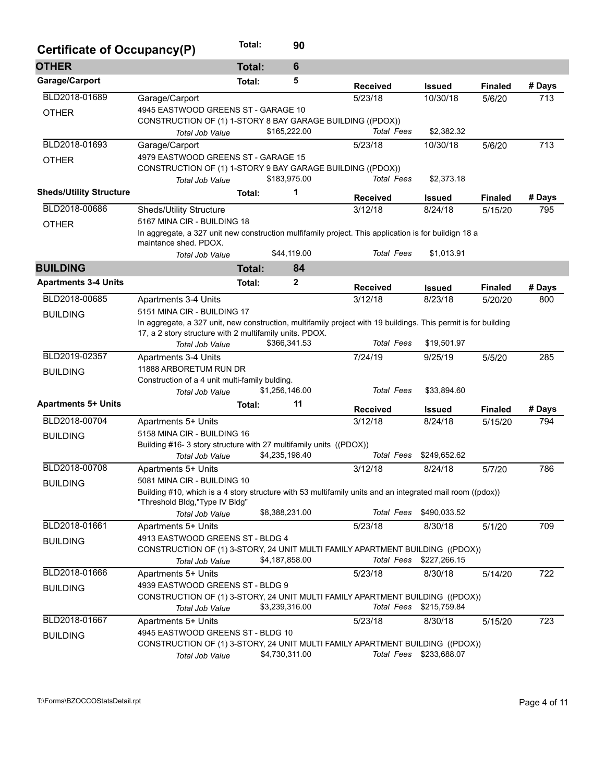| Certificate of Occupancy(P)    |                                                                                                                                              | Total:        | 90              |                   |                         |                |        |
|--------------------------------|----------------------------------------------------------------------------------------------------------------------------------------------|---------------|-----------------|-------------------|-------------------------|----------------|--------|
| <b>OTHER</b>                   |                                                                                                                                              | <b>Total:</b> | $6\phantom{1}6$ |                   |                         |                |        |
| Garage/Carport                 |                                                                                                                                              | Total:        | 5               | <b>Received</b>   | <b>Issued</b>           | <b>Finaled</b> | # Days |
| BLD2018-01689                  | Garage/Carport                                                                                                                               |               |                 | 5/23/18           | 10/30/18                | 5/6/20         | 713    |
| <b>OTHER</b>                   | 4945 EASTWOOD GREENS ST - GARAGE 10                                                                                                          |               |                 |                   |                         |                |        |
|                                | CONSTRUCTION OF (1) 1-STORY 8 BAY GARAGE BUILDING ((PDOX))                                                                                   |               |                 |                   |                         |                |        |
|                                | Total Job Value                                                                                                                              |               | \$165,222.00    | <b>Total Fees</b> | \$2,382.32              |                |        |
| BLD2018-01693                  | Garage/Carport                                                                                                                               |               |                 | 5/23/18           | 10/30/18                | 5/6/20         | 713    |
| <b>OTHER</b>                   | 4979 EASTWOOD GREENS ST - GARAGE 15                                                                                                          |               |                 |                   |                         |                |        |
|                                | CONSTRUCTION OF (1) 1-STORY 9 BAY GARAGE BUILDING ((PDOX))                                                                                   |               |                 |                   |                         |                |        |
|                                | Total Job Value                                                                                                                              |               | \$183,975.00    | <b>Total Fees</b> | \$2,373.18              |                |        |
| <b>Sheds/Utility Structure</b> |                                                                                                                                              | Total:        | 1               | <b>Received</b>   | <b>Issued</b>           | <b>Finaled</b> | # Days |
| BLD2018-00686                  | Sheds/Utility Structure                                                                                                                      |               |                 | 3/12/18           | 8/24/18                 | 5/15/20        | 795    |
| <b>OTHER</b>                   | 5167 MINA CIR - BUILDING 18                                                                                                                  |               |                 |                   |                         |                |        |
|                                | In aggregate, a 327 unit new construction mulfifamily project. This application is for buildign 18 a<br>maintance shed, PDOX.                |               |                 |                   |                         |                |        |
|                                | Total Job Value                                                                                                                              |               | \$44,119.00     | <b>Total Fees</b> | \$1,013.91              |                |        |
| <b>BUILDING</b>                |                                                                                                                                              | <b>Total:</b> | 84              |                   |                         |                |        |
| <b>Apartments 3-4 Units</b>    |                                                                                                                                              | Total:        | 2               | <b>Received</b>   | <b>Issued</b>           | <b>Finaled</b> | # Days |
| BLD2018-00685                  | Apartments 3-4 Units                                                                                                                         |               |                 | 3/12/18           | 8/23/18                 | 5/20/20        | 800    |
| <b>BUILDING</b>                | 5151 MINA CIR - BUILDING 17                                                                                                                  |               |                 |                   |                         |                |        |
|                                | In aggregate, a 327 unit, new construction, multifamily project with 19 buildings. This permit is for building                               |               |                 |                   |                         |                |        |
|                                | 17, a 2 story structure with 2 multifamily units. PDOX.                                                                                      |               |                 |                   |                         |                |        |
|                                | <b>Total Job Value</b>                                                                                                                       |               | \$366,341.53    | <b>Total Fees</b> | \$19,501.97             |                |        |
| BLD2019-02357                  | Apartments 3-4 Units                                                                                                                         |               |                 | 7/24/19           | 9/25/19                 | 5/5/20         | 285    |
| <b>BUILDING</b>                | 11888 ARBORETUM RUN DR                                                                                                                       |               |                 |                   |                         |                |        |
|                                | Construction of a 4 unit multi-family bulding.                                                                                               |               |                 |                   |                         |                |        |
|                                | Total Job Value                                                                                                                              |               | \$1,256,146.00  | <b>Total Fees</b> | \$33,894.60             |                |        |
| <b>Apartments 5+ Units</b>     |                                                                                                                                              | Total:        | 11              | <b>Received</b>   | <b>Issued</b>           | <b>Finaled</b> | # Days |
| BLD2018-00704                  | Apartments 5+ Units                                                                                                                          |               |                 | 3/12/18           | 8/24/18                 | 5/15/20        | 794    |
| <b>BUILDING</b>                | 5158 MINA CIR - BUILDING 16                                                                                                                  |               |                 |                   |                         |                |        |
|                                | Building #16-3 story structure with 27 multifamily units ((PDOX))                                                                            |               |                 |                   |                         |                |        |
|                                | Total Job Value                                                                                                                              |               | \$4,235,198.40  | <b>Total Fees</b> | \$249,652.62            |                |        |
| BLD2018-00708                  | Apartments 5+ Units                                                                                                                          |               |                 | 3/12/18           | 8/24/18                 | 5/7/20         | 786    |
| <b>BUILDING</b>                | 5081 MINA CIR - BUILDING 10                                                                                                                  |               |                 |                   |                         |                |        |
|                                | Building #10, which is a 4 story structure with 53 multifamily units and an integrated mail room ((pdox))<br>"Threshold Bldg, "Type IV Bldg" |               |                 |                   |                         |                |        |
|                                | Total Job Value                                                                                                                              |               | \$8,388,231.00  | Total Fees        | \$490,033.52            |                |        |
| BLD2018-01661                  | Apartments 5+ Units                                                                                                                          |               |                 | 5/23/18           | 8/30/18                 | 5/1/20         | 709    |
|                                | 4913 EASTWOOD GREENS ST - BLDG 4                                                                                                             |               |                 |                   |                         |                |        |
| <b>BUILDING</b>                | CONSTRUCTION OF (1) 3-STORY, 24 UNIT MULTI FAMILY APARTMENT BUILDING ((PDOX))                                                                |               |                 |                   |                         |                |        |
|                                | Total Job Value                                                                                                                              |               | \$4,187,858.00  | Total Fees        | \$227,266.15            |                |        |
| BLD2018-01666                  | Apartments 5+ Units                                                                                                                          |               |                 | 5/23/18           | 8/30/18                 | 5/14/20        | 722    |
| <b>BUILDING</b>                | 4939 EASTWOOD GREENS ST - BLDG 9                                                                                                             |               |                 |                   |                         |                |        |
|                                | CONSTRUCTION OF (1) 3-STORY, 24 UNIT MULTI FAMILY APARTMENT BUILDING ((PDOX))                                                                |               |                 |                   |                         |                |        |
|                                | Total Job Value                                                                                                                              |               | \$3,239,316.00  |                   | Total Fees \$215,759.84 |                |        |
| BLD2018-01667                  | Apartments 5+ Units                                                                                                                          |               |                 | 5/23/18           | 8/30/18                 | 5/15/20        | 723    |
| <b>BUILDING</b>                | 4945 EASTWOOD GREENS ST - BLDG 10                                                                                                            |               |                 |                   |                         |                |        |
|                                | CONSTRUCTION OF (1) 3-STORY, 24 UNIT MULTI FAMILY APARTMENT BUILDING ((PDOX))                                                                |               |                 |                   |                         |                |        |
|                                | Total Job Value                                                                                                                              |               | \$4,730,311.00  |                   | Total Fees \$233,688.07 |                |        |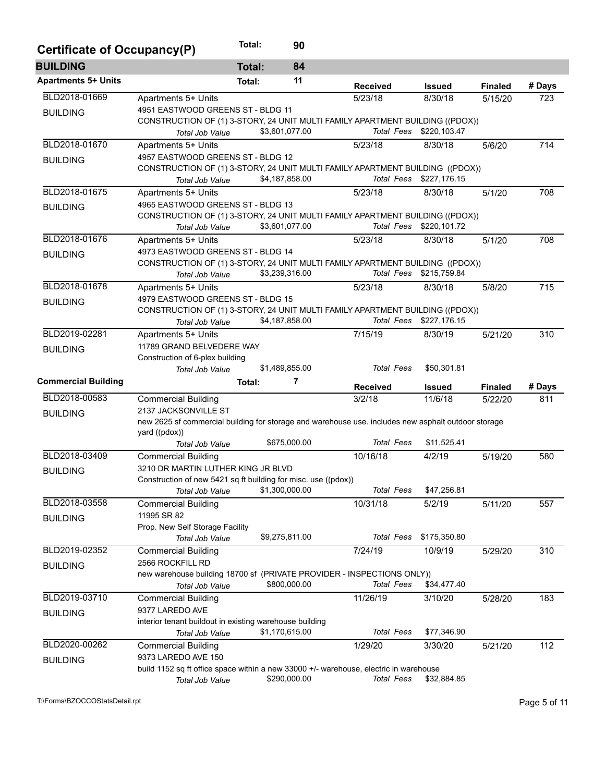| Certificate of Occupancy(P) |                                                                                                                    | Total:                          | 90             |                   |                                                                               |                |        |  |  |  |  |
|-----------------------------|--------------------------------------------------------------------------------------------------------------------|---------------------------------|----------------|-------------------|-------------------------------------------------------------------------------|----------------|--------|--|--|--|--|
| <b>BUILDING</b>             |                                                                                                                    | <b>Total:</b>                   | 84             |                   |                                                                               |                |        |  |  |  |  |
| <b>Apartments 5+ Units</b>  |                                                                                                                    | Total:                          | 11             | <b>Received</b>   | <b>Issued</b>                                                                 | <b>Finaled</b> | # Days |  |  |  |  |
| BLD2018-01669               | Apartments 5+ Units                                                                                                |                                 |                | 5/23/18           | 8/30/18                                                                       | 5/15/20        | 723    |  |  |  |  |
| <b>BUILDING</b>             | 4951 EASTWOOD GREENS ST - BLDG 11                                                                                  |                                 |                |                   |                                                                               |                |        |  |  |  |  |
|                             | CONSTRUCTION OF (1) 3-STORY, 24 UNIT MULTI FAMILY APARTMENT BUILDING ((PDOX))                                      |                                 |                |                   |                                                                               |                |        |  |  |  |  |
|                             | Total Job Value                                                                                                    |                                 | \$3,601,077.00 |                   | Total Fees \$220,103.47                                                       |                |        |  |  |  |  |
| BLD2018-01670               | Apartments 5+ Units                                                                                                |                                 |                | 5/23/18           | 8/30/18                                                                       | 5/6/20         | 714    |  |  |  |  |
| <b>BUILDING</b>             | 4957 EASTWOOD GREENS ST - BLDG 12                                                                                  |                                 |                |                   |                                                                               |                |        |  |  |  |  |
|                             |                                                                                                                    |                                 |                |                   | CONSTRUCTION OF (1) 3-STORY, 24 UNIT MULTI FAMILY APARTMENT BUILDING ((PDOX)) |                |        |  |  |  |  |
|                             | Total Job Value                                                                                                    |                                 | \$4,187,858.00 |                   | Total Fees \$227,176.15                                                       |                |        |  |  |  |  |
| BLD2018-01675               | Apartments 5+ Units                                                                                                |                                 |                | 5/23/18           | 8/30/18                                                                       | 5/1/20         | 708    |  |  |  |  |
| <b>BUILDING</b>             | 4965 EASTWOOD GREENS ST - BLDG 13                                                                                  |                                 |                |                   |                                                                               |                |        |  |  |  |  |
|                             | CONSTRUCTION OF (1) 3-STORY, 24 UNIT MULTI FAMILY APARTMENT BUILDING ((PDOX))                                      |                                 |                |                   | Total Fees \$220,101.72                                                       |                |        |  |  |  |  |
|                             | <b>Total Job Value</b>                                                                                             |                                 | \$3,601,077.00 |                   |                                                                               |                |        |  |  |  |  |
| BLD2018-01676               | Apartments 5+ Units                                                                                                |                                 |                | 5/23/18           | 8/30/18                                                                       | 5/1/20         | 708    |  |  |  |  |
| <b>BUILDING</b>             | 4973 EASTWOOD GREENS ST - BLDG 14<br>CONSTRUCTION OF (1) 3-STORY, 24 UNIT MULTI FAMILY APARTMENT BUILDING ((PDOX)) |                                 |                |                   |                                                                               |                |        |  |  |  |  |
|                             | Total Job Value                                                                                                    |                                 | \$3,239,316.00 |                   | Total Fees \$215,759.84                                                       |                |        |  |  |  |  |
| BLD2018-01678               | Apartments 5+ Units                                                                                                |                                 |                | 5/23/18           | 8/30/18                                                                       | 5/8/20         | 715    |  |  |  |  |
|                             | 4979 EASTWOOD GREENS ST - BLDG 15                                                                                  |                                 |                |                   |                                                                               |                |        |  |  |  |  |
| <b>BUILDING</b>             | CONSTRUCTION OF (1) 3-STORY, 24 UNIT MULTI FAMILY APARTMENT BUILDING ((PDOX))                                      |                                 |                |                   |                                                                               |                |        |  |  |  |  |
|                             | <b>Total Job Value</b>                                                                                             |                                 | \$4,187,858.00 |                   | Total Fees \$227,176.15                                                       |                |        |  |  |  |  |
| BLD2019-02281               | Apartments 5+ Units                                                                                                |                                 |                | 7/15/19           | 8/30/19                                                                       | 5/21/20        | 310    |  |  |  |  |
|                             | 11789 GRAND BELVEDERE WAY                                                                                          |                                 |                |                   |                                                                               |                |        |  |  |  |  |
| <b>BUILDING</b>             |                                                                                                                    | Construction of 6-plex building |                |                   |                                                                               |                |        |  |  |  |  |
|                             | <b>Total Job Value</b>                                                                                             |                                 | \$1,489,855.00 | <b>Total Fees</b> | \$50,301.81                                                                   |                |        |  |  |  |  |
| <b>Commercial Building</b>  |                                                                                                                    | Total:                          | 7              | <b>Received</b>   | <b>Issued</b>                                                                 | <b>Finaled</b> | # Days |  |  |  |  |
| BLD2018-00583               | <b>Commercial Building</b>                                                                                         |                                 |                | 3/2/18            | 11/6/18                                                                       | 5/22/20        | 811    |  |  |  |  |
| <b>BUILDING</b>             | 2137 JACKSONVILLE ST                                                                                               |                                 |                |                   |                                                                               |                |        |  |  |  |  |
|                             | new 2625 sf commercial building for storage and warehouse use. includes new asphalt outdoor storage                |                                 |                |                   |                                                                               |                |        |  |  |  |  |
|                             | yard ((pdox))                                                                                                      |                                 |                |                   |                                                                               |                |        |  |  |  |  |
|                             | <b>Total Job Value</b>                                                                                             |                                 | \$675,000.00   | <b>Total Fees</b> | \$11,525.41                                                                   |                |        |  |  |  |  |
| BLD2018-03409               | <b>Commercial Building</b>                                                                                         |                                 |                | 10/16/18          | 4/2/19                                                                        | 5/19/20        | 580    |  |  |  |  |
| <b>BUILDING</b>             | 3210 DR MARTIN LUTHER KING JR BLVD                                                                                 |                                 |                |                   |                                                                               |                |        |  |  |  |  |
|                             | Construction of new 5421 sq ft building for misc. use ((pdox))                                                     |                                 |                |                   |                                                                               |                |        |  |  |  |  |
|                             | Total Job Value                                                                                                    |                                 | \$1,300,000.00 | <b>Total Fees</b> | \$47,256.81                                                                   |                |        |  |  |  |  |
| BLD2018-03558               | <b>Commercial Building</b>                                                                                         |                                 |                | 10/31/18          | 5/2/19                                                                        | 5/11/20        | 557    |  |  |  |  |
| <b>BUILDING</b>             | 11995 SR 82                                                                                                        |                                 |                |                   |                                                                               |                |        |  |  |  |  |
|                             | Prop. New Self Storage Facility                                                                                    |                                 |                |                   |                                                                               |                |        |  |  |  |  |
|                             | Total Job Value                                                                                                    |                                 | \$9,275,811.00 |                   | Total Fees \$175,350.80                                                       |                |        |  |  |  |  |
| BLD2019-02352               | <b>Commercial Building</b>                                                                                         |                                 |                | 7/24/19           | 10/9/19                                                                       | 5/29/20        | 310    |  |  |  |  |
| <b>BUILDING</b>             | 2566 ROCKFILL RD                                                                                                   |                                 |                |                   |                                                                               |                |        |  |  |  |  |
|                             | new warehouse building 18700 sf (PRIVATE PROVIDER - INSPECTIONS ONLY))                                             | \$34,477.40                     |                |                   |                                                                               |                |        |  |  |  |  |
| BLD2019-03710               | Total Job Value                                                                                                    |                                 | \$800,000.00   | <b>Total Fees</b> |                                                                               |                |        |  |  |  |  |
|                             | <b>Commercial Building</b><br>9377 LAREDO AVE                                                                      |                                 |                | 11/26/19          | 3/10/20                                                                       | 5/28/20        | 183    |  |  |  |  |
| <b>BUILDING</b>             | interior tenant buildout in existing warehouse building                                                            |                                 |                |                   |                                                                               |                |        |  |  |  |  |
|                             | Total Job Value                                                                                                    |                                 | \$1,170,615.00 | <b>Total Fees</b> | \$77,346.90                                                                   |                |        |  |  |  |  |
| BLD2020-00262               | <b>Commercial Building</b>                                                                                         |                                 |                | 1/29/20           | 3/30/20                                                                       | 5/21/20        | 112    |  |  |  |  |
|                             | 9373 LAREDO AVE 150                                                                                                |                                 |                |                   |                                                                               |                |        |  |  |  |  |
| <b>BUILDING</b>             | build 1152 sq ft office space within a new 33000 +/- warehouse, electric in warehouse                              |                                 |                |                   |                                                                               |                |        |  |  |  |  |
|                             | Total Job Value                                                                                                    |                                 | \$290,000.00   | <b>Total Fees</b> | \$32,884.85                                                                   |                |        |  |  |  |  |
|                             |                                                                                                                    |                                 |                |                   |                                                                               |                |        |  |  |  |  |

T:\Forms\BZOCCOStatsDetail.rpt Page 5 of 11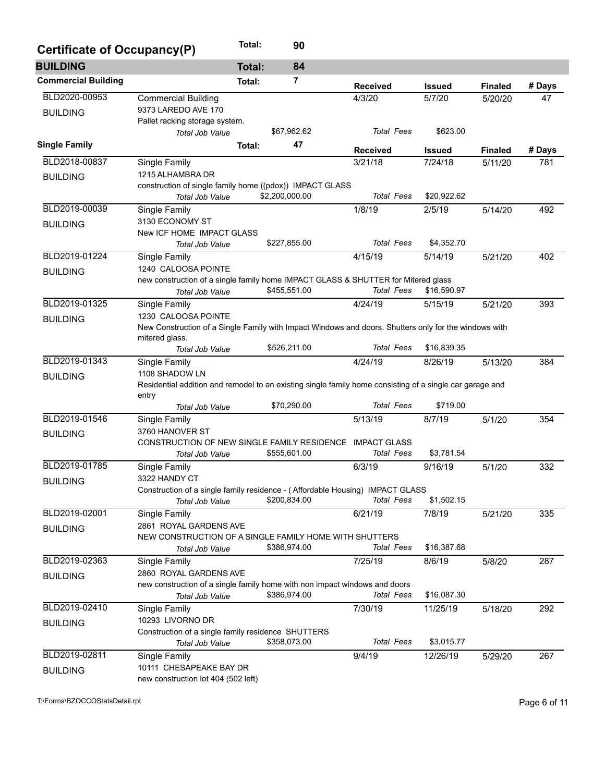| Certificate of Occupancy(P) |                                                                                                          | Total:          | 90             |                   |               |                |        |  |  |  |  |  |
|-----------------------------|----------------------------------------------------------------------------------------------------------|-----------------|----------------|-------------------|---------------|----------------|--------|--|--|--|--|--|
| <b>BUILDING</b>             |                                                                                                          | <b>Total:</b>   | 84             |                   |               |                |        |  |  |  |  |  |
| <b>Commercial Building</b>  |                                                                                                          | Total:          | 7              | <b>Received</b>   | <b>Issued</b> | <b>Finaled</b> | # Days |  |  |  |  |  |
| BLD2020-00953               | <b>Commercial Building</b>                                                                               |                 |                | 4/3/20            | 5/7/20        | 5/20/20        | 47     |  |  |  |  |  |
| <b>BUILDING</b>             | 9373 LAREDO AVE 170                                                                                      |                 |                |                   |               |                |        |  |  |  |  |  |
|                             | Pallet racking storage system.                                                                           |                 |                |                   |               |                |        |  |  |  |  |  |
|                             | <b>Total Job Value</b>                                                                                   |                 | \$67,962.62    | <b>Total Fees</b> | \$623.00      |                |        |  |  |  |  |  |
| <b>Single Family</b>        |                                                                                                          | Total:          | 47             | <b>Received</b>   | <b>Issued</b> | <b>Finaled</b> | # Days |  |  |  |  |  |
| BLD2018-00837               | Single Family                                                                                            |                 |                | 3/21/18           | 7/24/18       | 5/11/20        | 781    |  |  |  |  |  |
| <b>BUILDING</b>             | 1215 ALHAMBRA DR                                                                                         |                 |                |                   |               |                |        |  |  |  |  |  |
|                             | construction of single family home ((pdox)) IMPACT GLASS                                                 |                 |                |                   |               |                |        |  |  |  |  |  |
|                             | <b>Total Job Value</b>                                                                                   |                 | \$2,200,000.00 | <b>Total Fees</b> | \$20,922.62   |                |        |  |  |  |  |  |
| BLD2019-00039               | Single Family                                                                                            |                 |                | 1/8/19            | 2/5/19        | 5/14/20        | 492    |  |  |  |  |  |
| <b>BUILDING</b>             | 3130 ECONOMY ST<br>New ICF HOME IMPACT GLASS                                                             |                 |                |                   |               |                |        |  |  |  |  |  |
|                             | <b>Total Job Value</b>                                                                                   |                 | \$227,855.00   | <b>Total Fees</b> | \$4,352.70    |                |        |  |  |  |  |  |
| BLD2019-01224               | Single Family                                                                                            |                 |                | 4/15/19           | 5/14/19       | 5/21/20        | 402    |  |  |  |  |  |
| <b>BUILDING</b>             | 1240 CALOOSA POINTE                                                                                      |                 |                |                   |               |                |        |  |  |  |  |  |
|                             | new construction of a single family home IMPACT GLASS & SHUTTER for Mitered glass                        |                 |                |                   |               |                |        |  |  |  |  |  |
|                             | Total Job Value                                                                                          |                 | \$455,551.00   | <b>Total Fees</b> | \$16,590.97   |                |        |  |  |  |  |  |
| BLD2019-01325               | Single Family                                                                                            |                 |                | 4/24/19           | 5/15/19       | 5/21/20        | 393    |  |  |  |  |  |
| <b>BUILDING</b>             | 1230 CALOOSA POINTE                                                                                      |                 |                |                   |               |                |        |  |  |  |  |  |
|                             | New Construction of a Single Family with Impact Windows and doors. Shutters only for the windows with    |                 |                |                   |               |                |        |  |  |  |  |  |
|                             | mitered glass.<br>Total Job Value                                                                        |                 | \$526,211.00   | <b>Total Fees</b> | \$16,839.35   |                |        |  |  |  |  |  |
| BLD2019-01343               | Single Family                                                                                            |                 |                | 4/24/19           | 8/26/19       | 5/13/20        | 384    |  |  |  |  |  |
|                             | 1108 SHADOW LN                                                                                           |                 |                |                   |               |                |        |  |  |  |  |  |
| <b>BUILDING</b>             | Residential addition and remodel to an existing single family home consisting of a single car garage and |                 |                |                   |               |                |        |  |  |  |  |  |
|                             | entry                                                                                                    |                 |                |                   |               |                |        |  |  |  |  |  |
|                             | Total Job Value                                                                                          |                 | \$70,290.00    | <b>Total Fees</b> | \$719.00      |                |        |  |  |  |  |  |
| BLD2019-01546               | Single Family                                                                                            |                 |                | 5/13/19           | 8/7/19        | 5/1/20         | 354    |  |  |  |  |  |
| <b>BUILDING</b>             |                                                                                                          | 3760 HANOVER ST |                |                   |               |                |        |  |  |  |  |  |
|                             | CONSTRUCTION OF NEW SINGLE FAMILY RESIDENCE IMPACT GLASS<br>Total Job Value                              |                 | \$555,601.00   | <b>Total Fees</b> | \$3,781.54    |                |        |  |  |  |  |  |
| BLD2019-01785               | Single Family                                                                                            |                 |                | 6/3/19            | 9/16/19       | 5/1/20         | 332    |  |  |  |  |  |
|                             | 3322 HANDY CT                                                                                            |                 |                |                   |               |                |        |  |  |  |  |  |
| <b>BUILDING</b>             | Construction of a single family residence - (Affordable Housing) IMPACT GLASS                            |                 |                |                   |               |                |        |  |  |  |  |  |
|                             | Total Job Value                                                                                          |                 | \$200,834.00   | <b>Total Fees</b> | \$1,502.15    |                |        |  |  |  |  |  |
| BLD2019-02001               | Single Family                                                                                            |                 |                | 6/21/19           | 7/8/19        | 5/21/20        | 335    |  |  |  |  |  |
| <b>BUILDING</b>             | 2861 ROYAL GARDENS AVE                                                                                   |                 |                |                   |               |                |        |  |  |  |  |  |
|                             | NEW CONSTRUCTION OF A SINGLE FAMILY HOME WITH SHUTTERS                                                   |                 |                |                   |               |                |        |  |  |  |  |  |
|                             | Total Job Value                                                                                          |                 | \$386,974.00   | <b>Total Fees</b> | \$16,387.68   |                |        |  |  |  |  |  |
| BLD2019-02363               | Single Family                                                                                            |                 |                | 7/25/19           | 8/6/19        | 5/8/20         | 287    |  |  |  |  |  |
| <b>BUILDING</b>             | 2860 ROYAL GARDENS AVE<br>new construction of a single family home with non impact windows and doors     |                 |                |                   |               |                |        |  |  |  |  |  |
|                             | Total Job Value                                                                                          |                 | \$386,974.00   | <b>Total Fees</b> | \$16,087.30   |                |        |  |  |  |  |  |
| BLD2019-02410               | Single Family                                                                                            |                 |                | 7/30/19           | 11/25/19      | 5/18/20        | 292    |  |  |  |  |  |
| <b>BUILDING</b>             | 10293 LIVORNO DR                                                                                         |                 |                |                   |               |                |        |  |  |  |  |  |
|                             | Construction of a single family residence SHUTTERS                                                       |                 |                |                   |               |                |        |  |  |  |  |  |
|                             | Total Job Value                                                                                          |                 | \$358,073.00   | <b>Total Fees</b> | \$3,015.77    |                |        |  |  |  |  |  |
| BLD2019-02811               | Single Family                                                                                            |                 |                | 9/4/19            | 12/26/19      | 5/29/20        | 267    |  |  |  |  |  |
| <b>BUILDING</b>             | 10111 CHESAPEAKE BAY DR                                                                                  |                 |                |                   |               |                |        |  |  |  |  |  |
|                             | new construction lot 404 (502 left)                                                                      |                 |                |                   |               |                |        |  |  |  |  |  |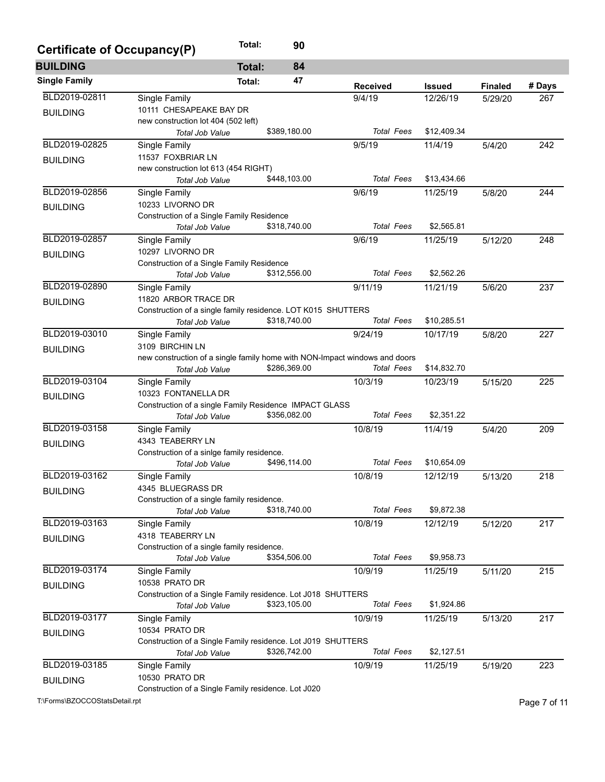| Certificate of Occupancy(P) |                                                                            | Total:        | 90           |                   |               |                |        |
|-----------------------------|----------------------------------------------------------------------------|---------------|--------------|-------------------|---------------|----------------|--------|
| <b>BUILDING</b>             |                                                                            | <b>Total:</b> | 84           |                   |               |                |        |
| <b>Single Family</b>        |                                                                            | Total:        | 47           | <b>Received</b>   | <b>Issued</b> | <b>Finaled</b> | # Days |
| BLD2019-02811               | Single Family                                                              |               |              | 9/4/19            | 12/26/19      | 5/29/20        | 267    |
| <b>BUILDING</b>             | 10111 CHESAPEAKE BAY DR                                                    |               |              |                   |               |                |        |
|                             | new construction lot 404 (502 left)                                        |               |              |                   |               |                |        |
|                             | Total Job Value                                                            |               | \$389,180.00 | <b>Total Fees</b> | \$12,409.34   |                |        |
| BLD2019-02825               | Single Family                                                              |               |              | 9/5/19            | 11/4/19       | 5/4/20         | 242    |
| <b>BUILDING</b>             | 11537 FOXBRIAR LN                                                          |               |              |                   |               |                |        |
|                             | new construction lot 613 (454 RIGHT)                                       |               | \$448,103.00 | <b>Total Fees</b> | \$13,434.66   |                |        |
|                             | <b>Total Job Value</b>                                                     |               |              |                   |               |                |        |
| BLD2019-02856               | Single Family                                                              |               |              | 9/6/19            | 11/25/19      | 5/8/20         | 244    |
| <b>BUILDING</b>             | 10233 LIVORNO DR                                                           |               |              |                   |               |                |        |
|                             | Construction of a Single Family Residence<br>Total Job Value               |               | \$318,740.00 | <b>Total Fees</b> | \$2,565.81    |                |        |
| BLD2019-02857               | Single Family                                                              |               |              | 9/6/19            | 11/25/19      | 5/12/20        | 248    |
|                             | 10297 LIVORNO DR                                                           |               |              |                   |               |                |        |
| <b>BUILDING</b>             | Construction of a Single Family Residence                                  |               |              |                   |               |                |        |
|                             | Total Job Value                                                            |               | \$312,556.00 | <b>Total Fees</b> | \$2,562.26    |                |        |
| BLD2019-02890               | Single Family                                                              |               |              | 9/11/19           | 11/21/19      | 5/6/20         | 237    |
|                             | 11820 ARBOR TRACE DR                                                       |               |              |                   |               |                |        |
| <b>BUILDING</b>             | Construction of a single family residence. LOT K015 SHUTTERS               |               |              |                   |               |                |        |
|                             | Total Job Value                                                            |               | \$318,740.00 | <b>Total Fees</b> | \$10,285.51   |                |        |
| BLD2019-03010               | Single Family                                                              |               |              | 9/24/19           | 10/17/19      | 5/8/20         | 227    |
| <b>BUILDING</b>             | 3109 BIRCHIN LN                                                            |               |              |                   |               |                |        |
|                             | new construction of a single family home with NON-Impact windows and doors |               |              |                   |               |                |        |
|                             | <b>Total Job Value</b>                                                     |               | \$286,369.00 | <b>Total Fees</b> | \$14,832.70   |                |        |
| BLD2019-03104               | Single Family                                                              |               |              | 10/3/19           | 10/23/19      | 5/15/20        | 225    |
| <b>BUILDING</b>             | 10323 FONTANELLA DR                                                        |               |              |                   |               |                |        |
|                             | Construction of a single Family Residence IMPACT GLASS                     |               |              |                   |               |                |        |
|                             | Total Job Value                                                            |               | \$356,082.00 | <b>Total Fees</b> | \$2,351.22    |                |        |
| BLD2019-03158               | Single Family                                                              |               |              | 10/8/19           | 11/4/19       | 5/4/20         | 209    |
| <b>BUILDING</b>             | 4343 TEABERRY LN                                                           |               |              |                   |               |                |        |
|                             | Construction of a sinlge family residence.                                 |               |              |                   |               |                |        |
|                             | Total Job Value                                                            |               | \$496,114.00 | <b>Total Fees</b> | \$10,654.09   |                |        |
| BLD2019-03162               | Single Family                                                              |               |              | 10/8/19           | 12/12/19      | 5/13/20        | 218    |
| <b>BUILDING</b>             | 4345 BLUEGRASS DR                                                          |               |              |                   |               |                |        |
|                             | Construction of a single family residence.                                 |               |              |                   |               |                |        |
|                             | Total Job Value                                                            |               | \$318,740.00 | <b>Total Fees</b> | \$9,872.38    |                |        |
| BLD2019-03163               | Single Family                                                              |               |              | 10/8/19           | 12/12/19      | 5/12/20        | 217    |
| <b>BUILDING</b>             | 4318 TEABERRY LN                                                           |               |              |                   |               |                |        |
|                             | Construction of a single family residence.                                 |               |              |                   |               |                |        |
|                             | Total Job Value                                                            |               | \$354,506.00 | <b>Total Fees</b> | \$9,958.73    |                |        |
| BLD2019-03174               | Single Family                                                              |               |              | 10/9/19           | 11/25/19      | 5/11/20        | 215    |
| <b>BUILDING</b>             | 10538 PRATO DR                                                             |               |              |                   |               |                |        |
|                             | Construction of a Single Family residence. Lot J018 SHUTTERS               |               |              | <b>Total Fees</b> |               |                |        |
|                             | <b>Total Job Value</b>                                                     |               | \$323,105.00 |                   | \$1,924.86    |                |        |
| BLD2019-03177               | Single Family                                                              |               |              | 10/9/19           | 11/25/19      | 5/13/20        | 217    |
| <b>BUILDING</b>             | 10534 PRATO DR                                                             |               |              |                   |               |                |        |
|                             | Construction of a Single Family residence. Lot J019 SHUTTERS               |               | \$326,742.00 | <b>Total Fees</b> | \$2,127.51    |                |        |
|                             | Total Job Value                                                            |               |              |                   |               |                |        |
| BLD2019-03185               | Single Family                                                              |               |              | 10/9/19           | 11/25/19      | 5/19/20        | 223    |
| <b>BUILDING</b>             | 10530 PRATO DR                                                             |               |              |                   |               |                |        |
|                             | Construction of a Single Family residence. Lot J020                        |               |              |                   |               |                |        |

T:\Forms\BZOCCOStatsDetail.rpt Page 7 of 11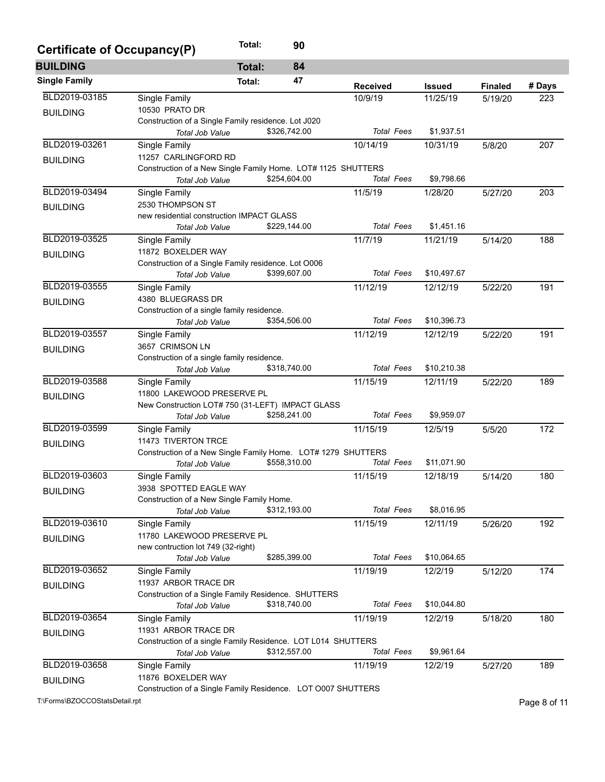| Certificate of Occupancy(P) |                                                                                     | Total:        | 90           |                   |               |                |        |  |  |  |
|-----------------------------|-------------------------------------------------------------------------------------|---------------|--------------|-------------------|---------------|----------------|--------|--|--|--|
| <b>BUILDING</b>             |                                                                                     | <b>Total:</b> | 84           |                   |               |                |        |  |  |  |
| <b>Single Family</b>        |                                                                                     | Total:        | 47           | <b>Received</b>   | <b>Issued</b> | <b>Finaled</b> | # Days |  |  |  |
| BLD2019-03185               | Single Family                                                                       |               |              | 10/9/19           | 11/25/19      | 5/19/20        | 223    |  |  |  |
| <b>BUILDING</b>             | 10530 PRATO DR                                                                      |               |              |                   |               |                |        |  |  |  |
|                             | Construction of a Single Family residence. Lot J020                                 |               |              |                   |               |                |        |  |  |  |
|                             | <b>Total Job Value</b>                                                              |               | \$326,742.00 | <b>Total Fees</b> | \$1,937.51    |                |        |  |  |  |
| BLD2019-03261               | Single Family                                                                       |               |              | 10/14/19          | 10/31/19      | 5/8/20         | 207    |  |  |  |
| <b>BUILDING</b>             | 11257 CARLINGFORD RD                                                                |               |              |                   |               |                |        |  |  |  |
|                             | Construction of a New Single Family Home. LOT# 1125 SHUTTERS                        |               |              |                   |               |                |        |  |  |  |
|                             | Total Job Value                                                                     |               | \$254,604.00 | <b>Total Fees</b> | \$9,798.66    |                |        |  |  |  |
| BLD2019-03494               | Single Family                                                                       |               |              | 11/5/19           | 1/28/20       | 5/27/20        | 203    |  |  |  |
| <b>BUILDING</b>             | 2530 THOMPSON ST                                                                    |               |              |                   |               |                |        |  |  |  |
|                             | new residential construction IMPACT GLASS                                           |               |              |                   |               |                |        |  |  |  |
|                             | Total Job Value                                                                     |               | \$229,144.00 | <b>Total Fees</b> | \$1,451.16    |                |        |  |  |  |
| BLD2019-03525               | Single Family                                                                       |               |              | 11/7/19           | 11/21/19      | 5/14/20        | 188    |  |  |  |
| <b>BUILDING</b>             | 11872 BOXELDER WAY                                                                  |               |              |                   |               |                |        |  |  |  |
|                             | Construction of a Single Family residence. Lot O006                                 |               |              |                   |               |                |        |  |  |  |
|                             | <b>Total Job Value</b>                                                              |               | \$399,607.00 | <b>Total Fees</b> | \$10,497.67   |                |        |  |  |  |
| BLD2019-03555               | Single Family                                                                       |               |              | 11/12/19          | 12/12/19      | 5/22/20        | 191    |  |  |  |
| <b>BUILDING</b>             | 4380 BLUEGRASS DR                                                                   |               |              |                   |               |                |        |  |  |  |
|                             | Construction of a single family residence.                                          |               |              |                   |               |                |        |  |  |  |
|                             | <b>Total Job Value</b>                                                              |               | \$354,506.00 | <b>Total Fees</b> | \$10,396.73   |                |        |  |  |  |
| BLD2019-03557               | Single Family                                                                       |               |              | 11/12/19          | 12/12/19      | 5/22/20        | 191    |  |  |  |
| <b>BUILDING</b>             | 3657 CRIMSON LN                                                                     |               |              |                   |               |                |        |  |  |  |
|                             | Construction of a single family residence.                                          |               |              | <b>Total Fees</b> | \$10,210.38   |                |        |  |  |  |
|                             | Total Job Value                                                                     |               | \$318,740.00 |                   |               |                |        |  |  |  |
| BLD2019-03588               | Single Family                                                                       |               |              | 11/15/19          | 12/11/19      | 5/22/20        | 189    |  |  |  |
| <b>BUILDING</b>             | 11800 LAKEWOOD PRESERVE PL<br>New Construction LOT# 750 (31-LEFT) IMPACT GLASS      |               |              |                   |               |                |        |  |  |  |
|                             |                                                                                     |               | \$258,241.00 | <b>Total Fees</b> | \$9,959.07    |                |        |  |  |  |
| BLD2019-03599               | Total Job Value                                                                     |               |              |                   |               |                |        |  |  |  |
|                             | Single Family                                                                       |               |              | 11/15/19          | 12/5/19       | 5/5/20         | 172    |  |  |  |
| <b>BUILDING</b>             | 11473 TIVERTON TRCE<br>Construction of a New Single Family Home. LOT# 1279 SHUTTERS |               |              |                   |               |                |        |  |  |  |
|                             | Total Job Value                                                                     |               | \$558,310.00 | <b>Total Fees</b> | \$11,071.90   |                |        |  |  |  |
| BLD2019-03603               |                                                                                     |               |              | 11/15/19          | 12/18/19      |                | 180    |  |  |  |
|                             | Single Family<br>3938 SPOTTED EAGLE WAY                                             |               |              |                   |               | 5/14/20        |        |  |  |  |
| <b>BUILDING</b>             | Construction of a New Single Family Home.                                           |               |              |                   |               |                |        |  |  |  |
|                             | Total Job Value                                                                     |               | \$312,193.00 | <b>Total Fees</b> | \$8,016.95    |                |        |  |  |  |
| BLD2019-03610               | Single Family                                                                       |               |              | 11/15/19          | 12/11/19      | 5/26/20        | 192    |  |  |  |
|                             | 11780 LAKEWOOD PRESERVE PL                                                          |               |              |                   |               |                |        |  |  |  |
| <b>BUILDING</b>             | new contruction lot 749 (32-right)                                                  |               |              |                   |               |                |        |  |  |  |
|                             | Total Job Value                                                                     |               | \$285,399.00 | <b>Total Fees</b> | \$10,064.65   |                |        |  |  |  |
| BLD2019-03652               | Single Family                                                                       |               |              | 11/19/19          | 12/2/19       | 5/12/20        | 174    |  |  |  |
|                             | 11937 ARBOR TRACE DR                                                                |               |              |                   |               |                |        |  |  |  |
| <b>BUILDING</b>             | Construction of a Single Family Residence. SHUTTERS                                 |               |              |                   |               |                |        |  |  |  |
|                             | Total Job Value                                                                     |               | \$318,740.00 | <b>Total Fees</b> | \$10,044.80   |                |        |  |  |  |
| BLD2019-03654               | Single Family                                                                       |               |              | 11/19/19          | 12/2/19       | 5/18/20        | 180    |  |  |  |
|                             | 11931 ARBOR TRACE DR                                                                |               |              |                   |               |                |        |  |  |  |
| <b>BUILDING</b>             | Construction of a single Family Residence. LOT L014 SHUTTERS                        |               |              |                   |               |                |        |  |  |  |
|                             | Total Job Value                                                                     |               | \$312,557.00 | <b>Total Fees</b> | \$9,961.64    |                |        |  |  |  |
| BLD2019-03658               | Single Family                                                                       |               |              | 11/19/19          | 12/2/19       | 5/27/20        | 189    |  |  |  |
|                             | 11876 BOXELDER WAY                                                                  |               |              |                   |               |                |        |  |  |  |
| <b>BUILDING</b>             | Construction of a Single Family Residence. LOT 0007 SHUTTERS                        |               |              |                   |               |                |        |  |  |  |

T:\Forms\BZOCCOStatsDetail.rpt Page 8 of 11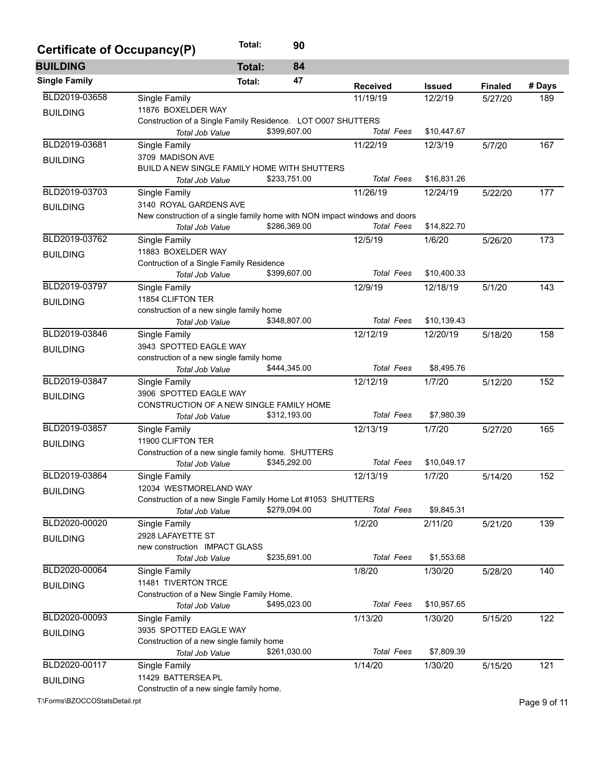| Certificate of Occupancy(P)    |                                                                            | Total:<br>90        |  |                   |               |                |              |  |
|--------------------------------|----------------------------------------------------------------------------|---------------------|--|-------------------|---------------|----------------|--------------|--|
| <b>BUILDING</b>                |                                                                            | 84<br><b>Total:</b> |  |                   |               |                |              |  |
| <b>Single Family</b>           |                                                                            | 47<br>Total:        |  | <b>Received</b>   | <b>Issued</b> | <b>Finaled</b> | # Days       |  |
| BLD2019-03658                  | Single Family                                                              |                     |  | 11/19/19          | 12/2/19       | 5/27/20        | 189          |  |
| <b>BUILDING</b>                | 11876 BOXELDER WAY                                                         |                     |  |                   |               |                |              |  |
|                                | Construction of a Single Family Residence. LOT 0007 SHUTTERS               |                     |  |                   |               |                |              |  |
|                                | Total Job Value                                                            | \$399,607.00        |  | <b>Total Fees</b> | \$10,447.67   |                |              |  |
| BLD2019-03681                  | Single Family                                                              |                     |  | 11/22/19          | 12/3/19       | 5/7/20         | 167          |  |
| <b>BUILDING</b>                | 3709 MADISON AVE                                                           |                     |  |                   |               |                |              |  |
|                                | BUILD A NEW SINGLE FAMILY HOME WITH SHUTTERS                               |                     |  |                   |               |                |              |  |
|                                | Total Job Value                                                            | \$233,751.00        |  | <b>Total Fees</b> | \$16,831.26   |                |              |  |
| BLD2019-03703                  | Single Family                                                              |                     |  | 11/26/19          | 12/24/19      | 5/22/20        | 177          |  |
| <b>BUILDING</b>                | 3140 ROYAL GARDENS AVE                                                     |                     |  |                   |               |                |              |  |
|                                | New construction of a single family home with NON impact windows and doors |                     |  |                   |               |                |              |  |
|                                | <b>Total Job Value</b>                                                     | \$286,369.00        |  | <b>Total Fees</b> | \$14,822.70   |                |              |  |
| BLD2019-03762                  | <b>Single Family</b>                                                       |                     |  | 12/5/19           | 1/6/20        | 5/26/20        | 173          |  |
| <b>BUILDING</b>                | 11883 BOXELDER WAY                                                         |                     |  |                   |               |                |              |  |
|                                | Contruction of a Single Family Residence                                   |                     |  |                   |               |                |              |  |
|                                | <b>Total Job Value</b>                                                     | \$399,607.00        |  | <b>Total Fees</b> | \$10,400.33   |                |              |  |
| BLD2019-03797                  | Single Family                                                              |                     |  | 12/9/19           | 12/18/19      | 5/1/20         | 143          |  |
| <b>BUILDING</b>                | 11854 CLIFTON TER                                                          |                     |  |                   |               |                |              |  |
|                                | construction of a new single family home                                   |                     |  |                   |               |                |              |  |
|                                | <b>Total Job Value</b>                                                     | \$348,807.00        |  | <b>Total Fees</b> | \$10,139.43   |                |              |  |
| BLD2019-03846                  | Single Family                                                              |                     |  | 12/12/19          | 12/20/19      | 5/18/20        | 158          |  |
| <b>BUILDING</b>                | 3943 SPOTTED EAGLE WAY                                                     |                     |  |                   |               |                |              |  |
|                                | construction of a new single family home                                   |                     |  |                   |               |                |              |  |
|                                | Total Job Value                                                            | \$444,345.00        |  | <b>Total Fees</b> | \$8,495.76    |                |              |  |
| BLD2019-03847                  | Single Family                                                              |                     |  | 12/12/19          | 1/7/20        | 5/12/20        | 152          |  |
| <b>BUILDING</b>                | 3906 SPOTTED EAGLE WAY                                                     |                     |  |                   |               |                |              |  |
|                                | CONSTRUCTION OF A NEW SINGLE FAMILY HOME                                   |                     |  |                   |               |                |              |  |
|                                | Total Job Value                                                            | \$312,193.00        |  | <b>Total Fees</b> | \$7,980.39    |                |              |  |
| BLD2019-03857                  | Single Family                                                              |                     |  | 12/13/19          | 1/7/20        | 5/27/20        | 165          |  |
| <b>BUILDING</b>                | 11900 CLIFTON TER                                                          |                     |  |                   |               |                |              |  |
|                                | Construction of a new single family home. SHUTTERS                         |                     |  |                   |               |                |              |  |
|                                | <b>Total Job Value</b>                                                     | \$345,292.00        |  | <b>Total Fees</b> | \$10,049.17   |                |              |  |
| BLD2019-03864                  | Single Family                                                              |                     |  | 12/13/19          | 1/7/20        | 5/14/20        | 152          |  |
| <b>BUILDING</b>                | 12034 WESTMORELAND WAY                                                     |                     |  |                   |               |                |              |  |
|                                | Construction of a new Single Family Home Lot #1053 SHUTTERS                |                     |  |                   |               |                |              |  |
|                                | Total Job Value                                                            | \$279,094.00        |  | <b>Total Fees</b> | \$9,845.31    |                |              |  |
| BLD2020-00020                  | Single Family                                                              |                     |  | 1/2/20            | 2/11/20       | 5/21/20        | 139          |  |
| <b>BUILDING</b>                | 2928 LAFAYETTE ST                                                          |                     |  |                   |               |                |              |  |
|                                | new construction IMPACT GLASS                                              |                     |  |                   |               |                |              |  |
|                                | Total Job Value                                                            | \$235,691.00        |  | <b>Total Fees</b> | \$1,553.68    |                |              |  |
| BLD2020-00064                  | Single Family                                                              |                     |  | 1/8/20            | 1/30/20       | 5/28/20        | 140          |  |
| <b>BUILDING</b>                | 11481 TIVERTON TRCE                                                        |                     |  |                   |               |                |              |  |
|                                | Construction of a New Single Family Home.                                  |                     |  |                   |               |                |              |  |
|                                | Total Job Value                                                            | \$495,023.00        |  | <b>Total Fees</b> | \$10,957.65   |                |              |  |
| BLD2020-00093                  | Single Family                                                              |                     |  | 1/13/20           | 1/30/20       | 5/15/20        | 122          |  |
| <b>BUILDING</b>                | 3935 SPOTTED EAGLE WAY                                                     |                     |  |                   |               |                |              |  |
|                                | Construction of a new single family home                                   |                     |  |                   |               |                |              |  |
|                                | Total Job Value                                                            | \$261,030.00        |  | <b>Total Fees</b> | \$7,809.39    |                |              |  |
| BLD2020-00117                  | Single Family                                                              |                     |  | 1/14/20           | 1/30/20       | 5/15/20        | 121          |  |
| <b>BUILDING</b>                | 11429 BATTERSEA PL                                                         |                     |  |                   |               |                |              |  |
|                                | Constructin of a new single family home.                                   |                     |  |                   |               |                |              |  |
| T:\Forms\BZOCCOStatsDetail.rpt |                                                                            |                     |  |                   |               |                | Page 9 of 11 |  |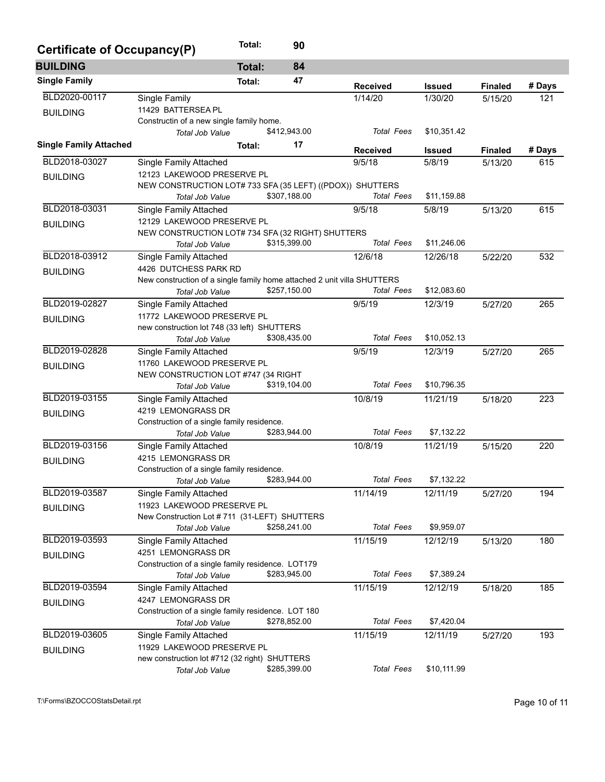| Certificate of Occupancy(P)   |                                                                         | Total:        | 90           |                   |               |                |        |  |  |  |
|-------------------------------|-------------------------------------------------------------------------|---------------|--------------|-------------------|---------------|----------------|--------|--|--|--|
| <b>BUILDING</b>               |                                                                         | <b>Total:</b> | 84           |                   |               |                |        |  |  |  |
| <b>Single Family</b>          |                                                                         | Total:        | 47           | <b>Received</b>   | <b>Issued</b> | <b>Finaled</b> | # Days |  |  |  |
| BLD2020-00117                 | Single Family                                                           |               |              | 1/14/20           | 1/30/20       | 5/15/20        | 121    |  |  |  |
| <b>BUILDING</b>               | 11429 BATTERSEA PL                                                      |               |              |                   |               |                |        |  |  |  |
|                               | Constructin of a new single family home.                                |               |              |                   |               |                |        |  |  |  |
|                               | Total Job Value                                                         |               | \$412,943.00 | <b>Total Fees</b> | \$10,351.42   |                |        |  |  |  |
| <b>Single Family Attached</b> |                                                                         | Total:        | 17           | <b>Received</b>   | <b>Issued</b> | <b>Finaled</b> | # Days |  |  |  |
| BLD2018-03027                 | Single Family Attached                                                  |               |              | 9/5/18            | 5/8/19        | 5/13/20        | 615    |  |  |  |
| <b>BUILDING</b>               | 12123 LAKEWOOD PRESERVE PL                                              |               |              |                   |               |                |        |  |  |  |
|                               | NEW CONSTRUCTION LOT# 733 SFA (35 LEFT) ((PDOX)) SHUTTERS               |               |              |                   |               |                |        |  |  |  |
|                               | <b>Total Job Value</b>                                                  |               | \$307,188.00 | <b>Total Fees</b> | \$11,159.88   |                |        |  |  |  |
| BLD2018-03031                 | <b>Single Family Attached</b>                                           |               |              | 9/5/18            | 5/8/19        | 5/13/20        | 615    |  |  |  |
| <b>BUILDING</b>               | 12129 LAKEWOOD PRESERVE PL                                              |               |              |                   |               |                |        |  |  |  |
|                               | NEW CONSTRUCTION LOT# 734 SFA (32 RIGHT) SHUTTERS                       |               |              |                   |               |                |        |  |  |  |
|                               | <b>Total Job Value</b>                                                  |               | \$315,399.00 | <b>Total Fees</b> | \$11,246.06   |                |        |  |  |  |
| BLD2018-03912                 | <b>Single Family Attached</b>                                           |               |              | 12/6/18           | 12/26/18      | 5/22/20        | 532    |  |  |  |
| <b>BUILDING</b>               | 4426 DUTCHESS PARK RD                                                   |               |              |                   |               |                |        |  |  |  |
|                               | New construction of a single family home attached 2 unit villa SHUTTERS |               |              |                   |               |                |        |  |  |  |
|                               | Total Job Value                                                         |               | \$257,150.00 | <b>Total Fees</b> | \$12,083.60   |                |        |  |  |  |
| BLD2019-02827                 | <b>Single Family Attached</b>                                           |               |              | 9/5/19            | 12/3/19       | 5/27/20        | 265    |  |  |  |
| <b>BUILDING</b>               | 11772 LAKEWOOD PRESERVE PL                                              |               |              |                   |               |                |        |  |  |  |
|                               | new construction lot 748 (33 left) SHUTTERS                             |               |              |                   |               |                |        |  |  |  |
|                               | <b>Total Job Value</b>                                                  |               | \$308,435.00 | <b>Total Fees</b> | \$10,052.13   |                |        |  |  |  |
| BLD2019-02828                 | <b>Single Family Attached</b>                                           |               |              | 9/5/19            | 12/3/19       | 5/27/20        | 265    |  |  |  |
| <b>BUILDING</b>               | 11760 LAKEWOOD PRESERVE PL                                              |               |              |                   |               |                |        |  |  |  |
|                               | NEW CONSTRUCTION LOT #747 (34 RIGHT                                     |               |              |                   |               |                |        |  |  |  |
|                               | Total Job Value                                                         |               | \$319,104.00 | <b>Total Fees</b> | \$10,796.35   |                |        |  |  |  |
| BLD2019-03155                 | Single Family Attached                                                  |               |              | 10/8/19           | 11/21/19      | 5/18/20        | 223    |  |  |  |
| <b>BUILDING</b>               | 4219 LEMONGRASS DR                                                      |               |              |                   |               |                |        |  |  |  |
|                               | Construction of a single family residence.                              |               |              |                   |               |                |        |  |  |  |
|                               | Total Job Value                                                         |               | \$283,944.00 | <b>Total Fees</b> | \$7,132.22    |                |        |  |  |  |
| BLD2019-03156                 | <b>Single Family Attached</b>                                           |               |              | 10/8/19           | 11/21/19      | 5/15/20        | 220    |  |  |  |
| <b>BUILDING</b>               | 4215 LEMONGRASS DR                                                      |               |              |                   |               |                |        |  |  |  |
|                               | Construction of a single family residence.                              |               |              |                   |               |                |        |  |  |  |
|                               | Total Job Value                                                         |               | \$283,944.00 | <b>Total Fees</b> | \$7,132.22    |                |        |  |  |  |
| BLD2019-03587                 | Single Family Attached                                                  |               |              | 11/14/19          | 12/11/19      | 5/27/20        | 194    |  |  |  |
| <b>BUILDING</b>               | 11923 LAKEWOOD PRESERVE PL                                              |               |              |                   |               |                |        |  |  |  |
|                               | New Construction Lot #711 (31-LEFT) SHUTTERS                            |               |              |                   |               |                |        |  |  |  |
|                               | Total Job Value                                                         |               | \$258,241.00 | <b>Total Fees</b> | \$9,959.07    |                |        |  |  |  |
| BLD2019-03593                 | Single Family Attached                                                  |               |              | 11/15/19          | 12/12/19      | 5/13/20        | 180    |  |  |  |
| <b>BUILDING</b>               | 4251 LEMONGRASS DR                                                      |               |              |                   |               |                |        |  |  |  |
|                               | Construction of a single family residence. LOT179                       |               |              |                   |               |                |        |  |  |  |
|                               | Total Job Value                                                         |               | \$283,945.00 | <b>Total Fees</b> | \$7,389.24    |                |        |  |  |  |
| BLD2019-03594                 | Single Family Attached                                                  |               |              | 11/15/19          | 12/12/19      | 5/18/20        | 185    |  |  |  |
| <b>BUILDING</b>               | 4247 LEMONGRASS DR                                                      |               |              |                   |               |                |        |  |  |  |
|                               | Construction of a single family residence. LOT 180                      |               |              |                   |               |                |        |  |  |  |
|                               | Total Job Value                                                         |               | \$278,852.00 | <b>Total Fees</b> | \$7,420.04    |                |        |  |  |  |
| BLD2019-03605                 | Single Family Attached                                                  |               |              | 11/15/19          | 12/11/19      | 5/27/20        | 193    |  |  |  |
| <b>BUILDING</b>               | 11929 LAKEWOOD PRESERVE PL                                              |               |              |                   |               |                |        |  |  |  |
|                               | new construction lot #712 (32 right) SHUTTERS                           |               |              |                   |               |                |        |  |  |  |
|                               | Total Job Value                                                         |               | \$285,399.00 | <b>Total Fees</b> | \$10,111.99   |                |        |  |  |  |